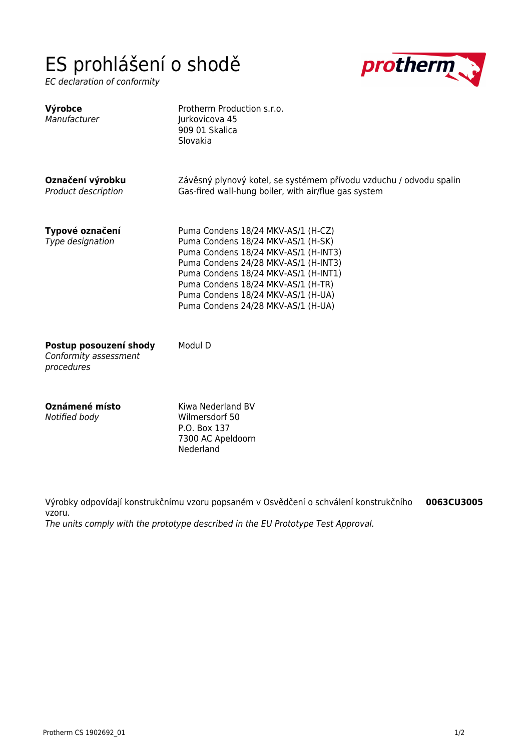## ES prohlášení o shodě

EC declaration of conformity



| Výrobce<br>Manufacturer                                       | Protherm Production s.r.o.<br>Jurkovicova 45<br>909 01 Skalica<br>Slovakia                                                                                                                                                                                                                                         |
|---------------------------------------------------------------|--------------------------------------------------------------------------------------------------------------------------------------------------------------------------------------------------------------------------------------------------------------------------------------------------------------------|
| Označení výrobku<br>Product description                       | Závěsný plynový kotel, se systémem přívodu vzduchu / odvodu spalin<br>Gas-fired wall-hung boiler, with air/flue gas system                                                                                                                                                                                         |
| Typové označení<br>Type designation                           | Puma Condens 18/24 MKV-AS/1 (H-CZ)<br>Puma Condens 18/24 MKV-AS/1 (H-SK)<br>Puma Condens 18/24 MKV-AS/1 (H-INT3)<br>Puma Condens 24/28 MKV-AS/1 (H-INT3)<br>Puma Condens 18/24 MKV-AS/1 (H-INT1)<br>Puma Condens 18/24 MKV-AS/1 (H-TR)<br>Puma Condens 18/24 MKV-AS/1 (H-UA)<br>Puma Condens 24/28 MKV-AS/1 (H-UA) |
| Postup posouzení shody<br>Conformity assessment<br>procedures | Modul D                                                                                                                                                                                                                                                                                                            |
| Oznámené místo<br>Notified body                               | Kiwa Nederland BV<br>Wilmersdorf 50<br>P.O. Box 137                                                                                                                                                                                                                                                                |

Výrobky odpovídají konstrukčnímu vzoru popsaném v Osvědčení o schválení konstrukčního vzoru. **0063CU3005**

The units comply with the prototype described in the EU Prototype Test Approval.

7300 AC Apeldoorn

Nederland